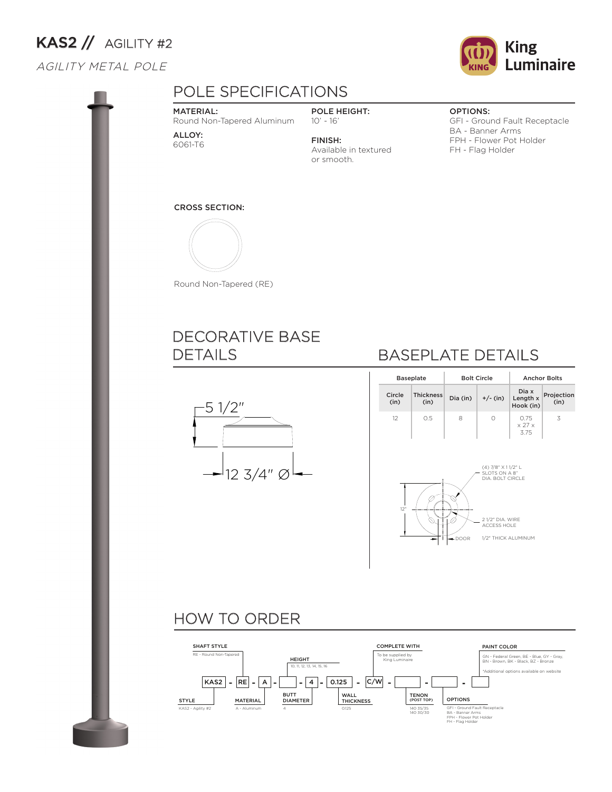# $KAS2$  // AGILITY #2

## AGILITY METAL POLE



#### MATERIAL:

Round Non-Tapered Aluminum

ALLOY: 6061-T6

POLE HEIGHT: 10' - 16'

FINISH: Available in textured or smooth.

#### OPTIONS:

GFI - Ground Fault Receptacle BA - Banner Arms FPH - Flower Pot Holder FH - Flag Holder

### CROSS SECTION:



Round Non-Tapered (RE)

## DECORATIVE BASE DETAILS



## BASEPLATE DETAILS

| <b>Baseplate</b> |                          |          | <b>Bolt Circle</b>                                           | <b>Anchor Bolts</b>                  |                    |  |  |  |
|------------------|--------------------------|----------|--------------------------------------------------------------|--------------------------------------|--------------------|--|--|--|
| Circle<br>(in)   | <b>Thickness</b><br>(in) | Dia (in) | $+/-$ (in)                                                   | Dia x<br>Length x<br>Hook (in)       | Projection<br>(in) |  |  |  |
| 12               | 0.5                      | 8        | 0                                                            | 0.75<br>$\times$ 27 $\times$<br>3.75 | 3                  |  |  |  |
|                  |                          |          | (4) 7/8" X 11/2" L<br>SLOTS ON A 8"<br>DIA. BOLT CIRCLE      |                                      |                    |  |  |  |
| 12"              |                          | -DOOR    | 21/2" DIA, WIRE<br><b>ACCESS HOLE</b><br>1/2" THICK ALUMINUM |                                      |                    |  |  |  |

## HOW TO ORDER